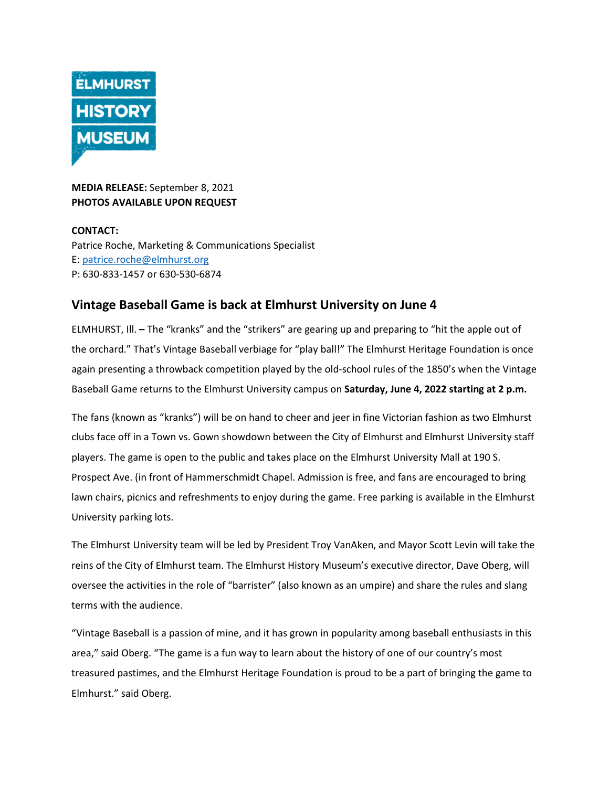

**MEDIA RELEASE:** September 8, 2021 **PHOTOS AVAILABLE UPON REQUEST** 

**CONTACT:**  Patrice Roche, Marketing & Communications Specialist E: [patrice.roche@elmhurst.org](mailto:patrice.roche@elmhurst.org)  P: 630-833-1457 or 630-530-6874

## **Vintage Baseball Game is back at Elmhurst University on June 4**

ELMHURST, Ill. **–** The "kranks" and the "strikers" are gearing up and preparing to "hit the apple out of the orchard." That's Vintage Baseball verbiage for "play ball!" The Elmhurst Heritage Foundation is once again presenting a throwback competition played by the old-school rules of the 1850's when the Vintage Baseball Game returns to the Elmhurst University campus on **Saturday, June 4, 2022 starting at 2 p.m.** 

The fans (known as "kranks") will be on hand to cheer and jeer in fine Victorian fashion as two Elmhurst clubs face off in a Town vs. Gown showdown between the City of Elmhurst and Elmhurst University staff players. The game is open to the public and takes place on the Elmhurst University Mall at 190 S. Prospect Ave. (in front of Hammerschmidt Chapel. Admission is free, and fans are encouraged to bring lawn chairs, picnics and refreshments to enjoy during the game. Free parking is available in the Elmhurst University parking lots.

The Elmhurst University team will be led by President Troy VanAken, and Mayor Scott Levin will take the reins of the City of Elmhurst team. The Elmhurst History Museum's executive director, Dave Oberg, will oversee the activities in the role of "barrister" (also known as an umpire) and share the rules and slang terms with the audience.

"Vintage Baseball is a passion of mine, and it has grown in popularity among baseball enthusiasts in this area," said Oberg. "The game is a fun way to learn about the history of one of our country's most treasured pastimes, and the Elmhurst Heritage Foundation is proud to be a part of bringing the game to Elmhurst." said Oberg.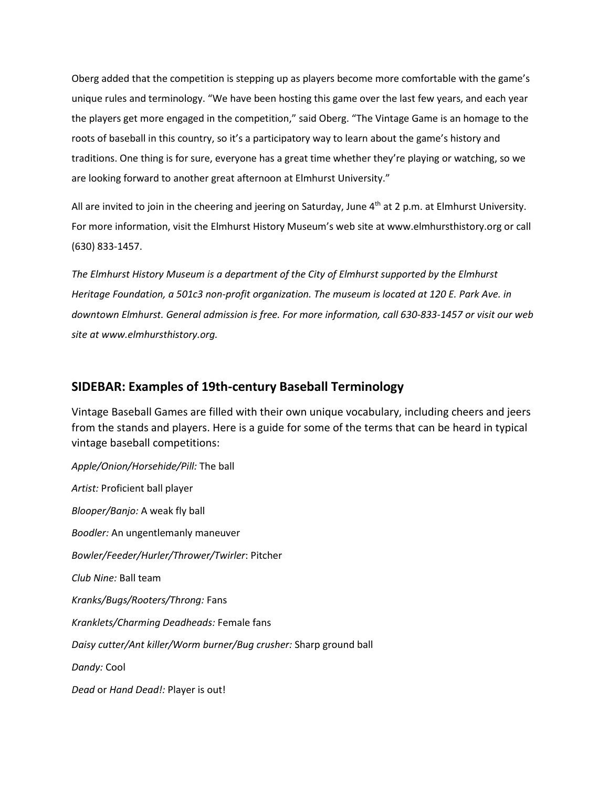Oberg added that the competition is stepping up as players become more comfortable with the game's unique rules and terminology. "We have been hosting this game over the last few years, and each year the players get more engaged in the competition," said Oberg. "The Vintage Game is an homage to the roots of baseball in this country, so it's a participatory way to learn about the game's history and traditions. One thing is for sure, everyone has a great time whether they're playing or watching, so we are looking forward to another great afternoon at Elmhurst University."

All are invited to join in the cheering and jeering on Saturday, June 4<sup>th</sup> at 2 p.m. at Elmhurst University. For more information, visit the Elmhurst History Museum's web site at www.elmhursthistory.org or call (630) 833-1457.

*The Elmhurst History Museum is a department of the City of Elmhurst supported by the Elmhurst Heritage Foundation, a 501c3 non-profit organization. The museum is located at 120 E. Park Ave. in downtown Elmhurst. General admission is free. For more information, call 630-833-1457 or visit our web site at www.elmhursthistory.org.* 

## **SIDEBAR: Examples of 19th-century Baseball Terminology**

Vintage Baseball Games are filled with their own unique vocabulary, including cheers and jeers from the stands and players. Here is a guide for some of the terms that can be heard in typical vintage baseball competitions:

*Apple/Onion/Horsehide/Pill:* The ball *Artist:* Proficient ball player *Blooper/Banjo:* A weak fly ball *Boodler:* An ungentlemanly maneuver *Bowler/Feeder/Hurler/Thrower/Twirler*: Pitcher *Club Nine:* Ball team *Kranks/Bugs/Rooters/Throng:* Fans *Kranklets/Charming Deadheads:* Female fans *Daisy cutter/Ant killer/Worm burner/Bug crusher:* Sharp ground ball *Dandy:* Cool *Dead* or *Hand Dead!:* Player is out!